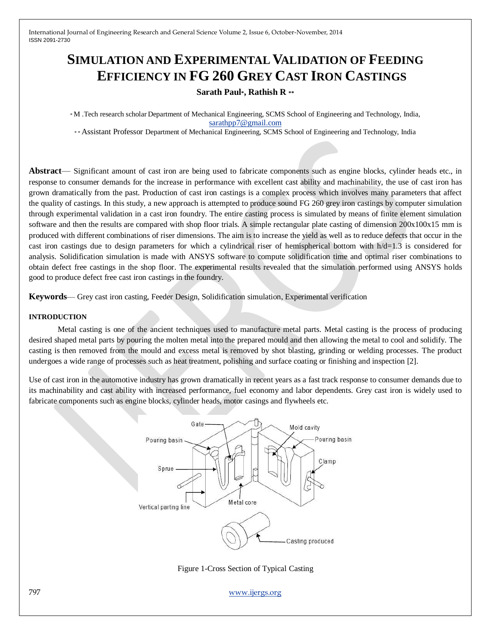# **SIMULATION AND EXPERIMENTAL VALIDATION OF FEEDING EFFICIENCY IN FG 260 GREY CAST IRON CASTINGS**

## **Sarath Paul\*, Rathish R \*\***

\* M .Tech research scholar Department of Mechanical Engineering, SCMS School of Engineering and Technology, India, [sarathpp7@gmail.com](mailto:sarathpp7@gmail.com)

\* \* Assistant Professor Department of Mechanical Engineering, SCMS School of Engineering and Technology, India

**Abstract**— Significant amount of cast iron are being used to fabricate components such as engine blocks, cylinder heads etc., in response to consumer demands for the increase in performance with excellent cast ability and machinability, the use of cast iron has grown dramatically from the past. Production of cast iron castings is a complex process which involves many parameters that affect the quality of castings. In this study, a new approach is attempted to produce sound FG 260 grey iron castings by computer simulation through experimental validation in a cast iron foundry. The entire casting process is simulated by means of finite element simulation software and then the results are compared with shop floor trials. A simple rectangular plate casting of dimension  $200x100x15$  mm is produced with different combinations of riser dimensions. The aim is to increase the yield as well as to reduce defects that occur in the cast iron castings due to design parameters for which a cylindrical riser of hemispherical bottom with  $h/d=1.3$  is considered for analysis. Solidification simulation is made with ANSYS software to compute solidification time and optimal riser combinations to obtain defect free castings in the shop floor. The experimental results revealed that the simulation performed using ANSYS holds good to produce defect free cast iron castings in the foundry.

**Keywords**— Grey cast iron casting, Feeder Design, Solidification simulation, Experimental verification

#### **INTRODUCTION**

Metal casting is one of the ancient techniques used to manufacture metal parts. Metal casting is the process of producing desired shaped metal parts by pouring the molten metal into the prepared mould and then allowing the metal to cool and solidify. The casting is then removed from the mould and excess metal is removed by shot blasting, grinding or welding processes. The product undergoes a wide range of processes such as heat treatment, polishing and surface coating or finishing and inspection [2].

Use of cast iron in the automotive industry has grown dramatically in recent years as a fast track response to consumer demands due to its machinability and cast ability with increased performance, fuel economy and labor dependents. Grey cast iron is widely used to fabricate components such as engine blocks, cylinder heads, motor casings and flywheels etc.



Figure 1-Cross Section of Typical Casting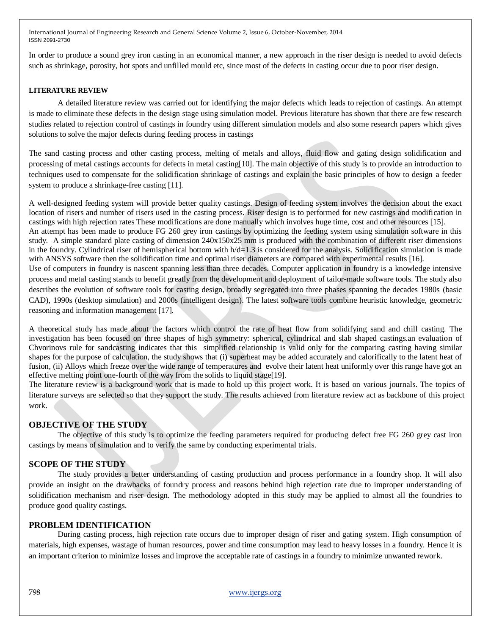In order to produce a sound grey iron casting in an economical manner, a new approach in the riser design is needed to avoid defects such as shrinkage, porosity, hot spots and unfilled mould etc, since most of the defects in casting occur due to poor riser design.

#### **LITERATURE REVIEW**

A detailed literature review was carried out for identifying the major defects which leads to rejection of castings. An attempt is made to eliminate these defects in the design stage using simulation model. Previous literature has shown that there are few research studies related to rejection control of castings in foundry using different simulation models and also some research papers which gives solutions to solve the major defects during feeding process in castings

The sand casting process and other casting process, melting of metals and alloys, fluid flow and gating design solidification and processing of metal castings accounts for defects in metal casting[10]. The main objective of this study is to provide an introduction to techniques used to compensate for the solidification shrinkage of castings and explain the basic principles of how to design a feeder system to produce a shrinkage-free casting [11].

A well-designed feeding system will provide better quality castings. Design of feeding system involves the decision about the exact location of risers and number of risers used in the casting process. Riser design is to performed for new castings and modification in castings with high rejection rates These modifications are done manually which involves huge time, cost and other resources [15]. An attempt has been made to produce FG 260 grey iron castings by optimizing the feeding system using simulation software in this study. A simple standard plate casting of dimension 240x150x25 mm is produced with the combination of different riser dimensions in the foundry. Cylindrical riser of hemispherical bottom with  $h/d=1.3$  is considered for the analysis. Solidification simulation is made with ANSYS software then the solidification time and optimal riser diameters are compared with experimental results [16]. Use of computers in foundry is nascent spanning less than three decades. Computer application in foundry is a knowledge intensive process and metal casting stands to benefit greatly from the development and deployment of tailor-made software tools. The study also describes the evolution of software tools for casting design, broadly segregated into three phases spanning the decades 1980s (basic CAD), 1990s (desktop simulation) and 2000s (intelligent design). The latest software tools combine heuristic knowledge, geometric reasoning and information management [17].

A theoretical study has made about the factors which control the rate of heat flow from solidifying sand and chill casting. The investigation has been focused on three shapes of high symmetry: spherical, cylindrical and slab shaped castings.an evaluation of Chvorinovs rule for sandcasting indicates that this simplified relationship is valid only for the comparing casting having similar shapes for the purpose of calculation, the study shows that (i) superheat may be added accurately and calorifically to the latent heat of fusion, (ii) Alloys which freeze over the wide range of temperatures and evolve their latent heat uniformly over this range have got an effective melting point one-fourth of the way from the solids to liquid stage[19].

The literature review is a background work that is made to hold up this project work. It is based on various journals. The topics of literature surveys are selected so that they support the study. The results achieved from literature review act as backbone of this project work.

## **OBJECTIVE OF THE STUDY**

The objective of this study is to optimize the feeding parameters required for producing defect free FG 260 grey cast iron castings by means of simulation and to verify the same by conducting experimental trials.

#### **SCOPE OF THE STUDY**

The study provides a better understanding of casting production and process performance in a foundry shop. It will also provide an insight on the drawbacks of foundry process and reasons behind high rejection rate due to improper understanding of solidification mechanism and riser design. The methodology adopted in this study may be applied to almost all the foundries to produce good quality castings.

#### **PROBLEM IDENTIFICATION**

During casting process, high rejection rate occurs due to improper design of riser and gating system. High consumption of materials, high expenses, wastage of human resources, power and time consumption may lead to heavy losses in a foundry. Hence it is an important criterion to minimize losses and improve the acceptable rate of castings in a foundry to minimize unwanted rework.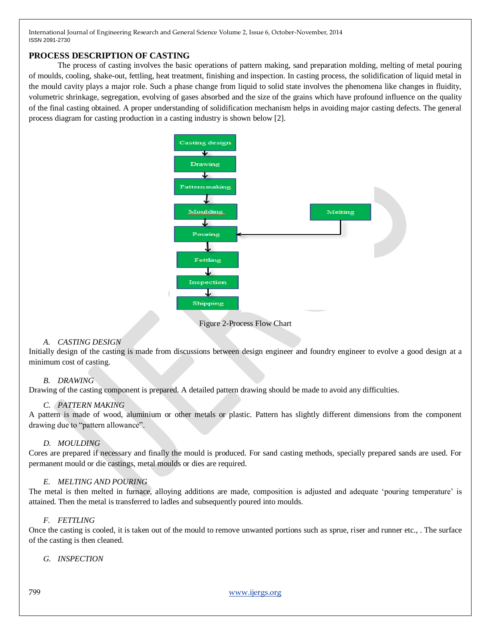## **PROCESS DESCRIPTION OF CASTING**

The process of casting involves the basic operations of pattern making, sand preparation molding, melting of metal pouring of moulds, cooling, shake-out, fettling, heat treatment, finishing and inspection. In casting process, the solidification of liquid metal in the mould cavity plays a major role. Such a phase change from liquid to solid state involves the phenomena like changes in fluidity, volumetric shrinkage, segregation, evolving of gases absorbed and the size of the grains which have profound influence on the quality of the final casting obtained. A proper understanding of solidification mechanism helps in avoiding major casting defects. The general process diagram for casting production in a casting industry is shown below [2].



Figure 2-Process Flow Chart

#### *A. CASTING DESIGN*

Initially design of the casting is made from discussions between design engineer and foundry engineer to evolve a good design at a minimum cost of casting.

#### *B. DRAWING*

Drawing of the casting component is prepared. A detailed pattern drawing should be made to avoid any difficulties.

#### *C. PATTERN MAKING*

A pattern is made of wood, aluminium or other metals or plastic. Pattern has slightly different dimensions from the component drawing due to "pattern allowance".

#### *D. MOULDING*

Cores are prepared if necessary and finally the mould is produced. For sand casting methods, specially prepared sands are used. For permanent mould or die castings, metal moulds or dies are required.

## *E. MELTING AND POURING*

The metal is then melted in furnace, alloying additions are made, composition is adjusted and adequate 'pouring temperature' is attained. Then the metal is transferred to ladles and subsequently poured into moulds.

## *F. FETTLING*

Once the casting is cooled, it is taken out of the mould to remove unwanted portions such as sprue, riser and runner etc., . The surface of the casting is then cleaned.

*G. INSPECTION*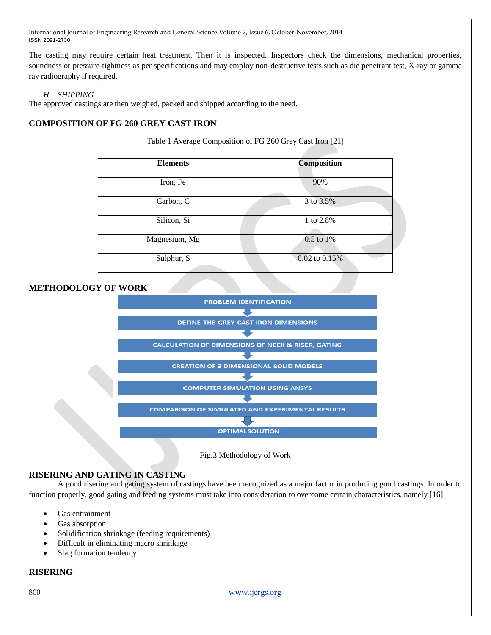The casting may require certain heat treatment. Then it is inspected. Inspectors check the dimensions, mechanical properties, soundness or pressure-tightness as per specifications and may employ non-destructive tests such as die penetrant test, X-ray or gamma ray radiography if required.

## *H. SHIPPING*

The approved castings are then weighed, packed and shipped according to the need.

## **COMPOSITION OF FG 260 GREY CAST IRON**

Table 1 Average Composition of FG 260 Grey Cast Iron [21]

| <b>Elements</b> | <b>Composition</b> |  |  |
|-----------------|--------------------|--|--|
| Iron, Fe        | 90%                |  |  |
| Carbon, C       | 3 to 3.5%          |  |  |
| Silicon, Si     | 1 to 2.8%          |  |  |
| Magnesium, Mg   | 0.5 to 1%          |  |  |
| Sulphur, S      | 0.02 to 0.15%      |  |  |

## **METHODOLOGY OF WORK**



Fig.3 Methodology of Work

## **RISERING AND GATING IN CASTING**

A good risering and gating system of castings have been recognized as a major factor in producing good castings. In order to function properly, good gating and feeding systems must take into consideration to overcome certain characteristics, namely [16].

- Gas entrainment
- Gas absorption
- Solidification shrinkage (feeding requirements)
- Difficult in eliminating macro shrinkage
- Slag formation tendency

#### **RISERING**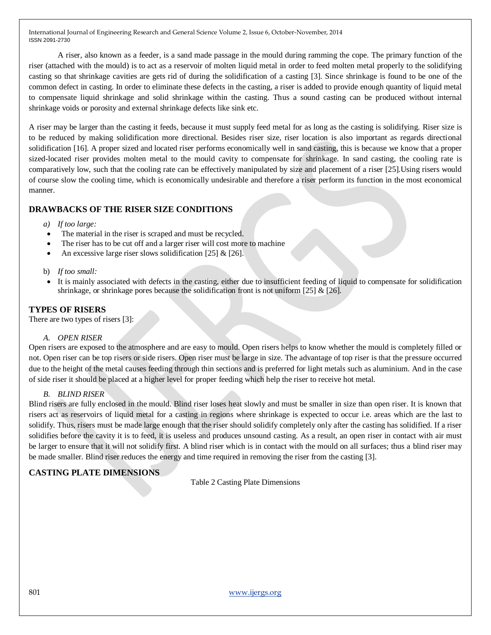A riser, also known as a feeder, is a sand made passage in the mould during ramming the cope. The primary function of the riser (attached with the mould) is to act as a reservoir of molten liquid metal in order to feed molten metal properly to the solidifying casting so that shrinkage cavities are gets rid of during the solidification of a casting [3]. Since shrinkage is found to be one of the common defect in casting. In order to eliminate these defects in the casting, a riser is added to provide enough quantity of liquid metal to compensate liquid shrinkage and solid shrinkage within the casting. Thus a sound casting can be produced without internal shrinkage voids or porosity and external shrinkage defects like sink etc.

A riser may be larger than the casting it feeds, because it must supply feed metal for as long as the casting is solidifying. Riser size is to be reduced by making solidification more directional. Besides riser size, riser location is also important as regards directional solidification [16]. A proper sized and located riser performs economically well in sand casting, this is because we know that a proper sized-located riser provides molten metal to the mould cavity to compensate for shrinkage. In sand casting, the cooling rate is comparatively low, such that the cooling rate can be effectively manipulated by size and placement of a riser [25].Using risers would of course slow the cooling time, which is economically undesirable and therefore a riser perform its function in the most economical manner.

## **DRAWBACKS OF THE RISER SIZE CONDITIONS**

*a) If too large:*

- The material in the riser is scraped and must be recycled.
- The riser has to be cut off and a larger riser will cost more to machine
- An excessive large riser slows solidification [25] & [26].
- b) *If too small:*
- It is mainly associated with defects in the casting, either due to insufficient feeding of liquid to compensate for solidification shrinkage, or shrinkage pores because the solidification front is not uniform [25] & [26].

### **TYPES OF RISERS**

There are two types of risers [3]:

#### *A. OPEN RISER*

Open risers are exposed to the atmosphere and are easy to mould. Open risers helps to know whether the mould is completely filled or not. Open riser can be top risers or side risers. Open riser must be large in size. The advantage of top riser is that the pressure occurred due to the height of the metal causes feeding through thin sections and is preferred for light metals such as aluminium. And in the case of side riser it should be placed at a higher level for proper feeding which help the riser to receive hot metal.

#### *B. BLIND RISER*

Blind risers are fully enclosed in the mould. Blind riser loses heat slowly and must be smaller in size than open riser. It is known that risers act as reservoirs of liquid metal for a casting in regions where shrinkage is expected to occur i.e. areas which are the last to solidify. Thus, risers must be made large enough that the riser should solidify completely only after the casting has solidified. If a riser solidifies before the cavity it is to feed, it is useless and produces unsound casting. As a result, an open riser in contact with air must be larger to ensure that it will not solidify first. A blind riser which is in contact with the mould on all surfaces; thus a blind riser may be made smaller. Blind riser reduces the energy and time required in removing the riser from the casting [3].

## **CASTING PLATE DIMENSIONS**

Table 2 Casting Plate Dimensions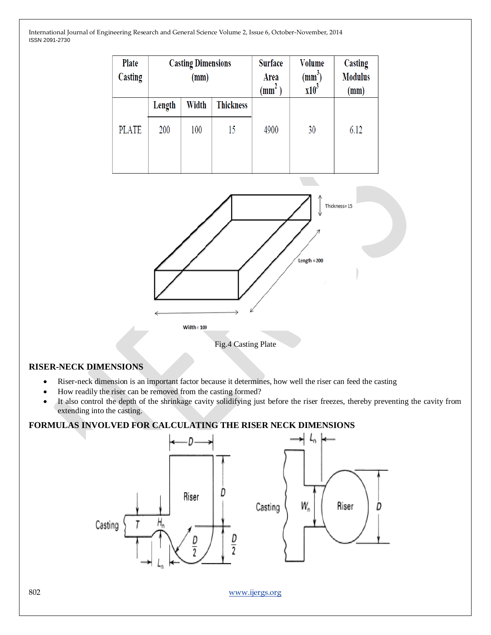| Plate<br>Casting |        | <b>Casting Dimensions</b><br>(mm) |                  | <b>Surface</b><br>Area<br>$\text{m}^2$ | <b>Volume</b><br>$(mm^3)$<br>x10 <sup>3</sup> | Casting<br><b>Modulus</b><br>(mm) |
|------------------|--------|-----------------------------------|------------------|----------------------------------------|-----------------------------------------------|-----------------------------------|
|                  | Length | Width                             | <b>Thickness</b> |                                        |                                               |                                   |
| <b>PLATE</b>     | 200    | 100                               | 15               | 4900                                   | 30                                            | 6.12                              |



Fig.4 Casting Plate

## **RISER-NECK DIMENSIONS**

- Riser-neck dimension is an important factor because it determines, how well the riser can feed the casting
- How readily the riser can be removed from the casting formed?
- It also control the depth of the shrinkage cavity solidifying just before the riser freezes, thereby preventing the cavity from extending into the casting.

## **FORMULAS INVOLVED FOR CALCULATING THE RISER NECK DIMENSIONS**

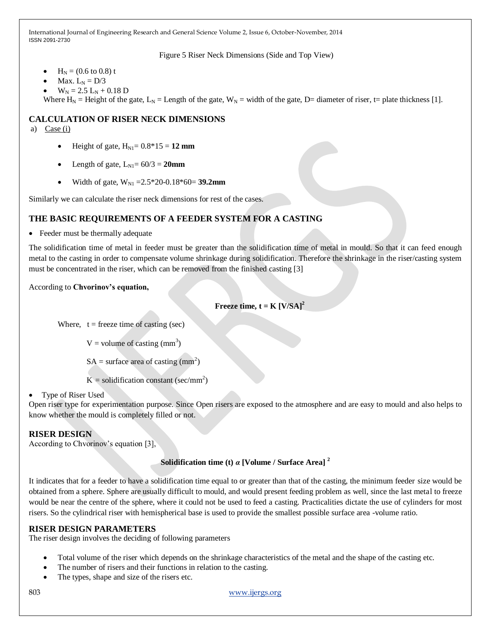Figure 5 Riser Neck Dimensions (Side and Top View)

- $H_N = (0.6 \text{ to } 0.8)$  t
- Max.  $L_N = D/3$
- $W_N = 2.5 L_N + 0.18 D$

Where  $H_N$  = Height of the gate,  $L_N$  = Length of the gate,  $W_N$  = width of the gate, D= diameter of riser, t= plate thickness [1].

## **CALCULATION OF RISER NECK DIMENSIONS**

a)  $Case (i)$ 

- Height of gate,  $H_{N1} = 0.8*15 = 12$  mm
- Length of gate,  $L_{\text{N1}} = 60/3 = 20$ mm
- Width of gate,  $W_{N1} = 2.5 \times 20 0.18 \times 60 = 39.2$ mm

Similarly we can calculate the riser neck dimensions for rest of the cases.

## **THE BASIC REQUIREMENTS OF A FEEDER SYSTEM FOR A CASTING**

• Feeder must be thermally adequate

The solidification time of metal in feeder must be greater than the solidification time of metal in mould. So that it can feed enough metal to the casting in order to compensate volume shrinkage during solidification. Therefore the shrinkage in the riser/casting system must be concentrated in the riser, which can be removed from the finished casting [3]

## According to **Chvorinov's equation,**

**Freeze time,**  $t = K [V/SA]^2$ 

Where,  $t = \text{freeze time of casting (sec)}$ 

 $V =$  volume of casting (mm<sup>3</sup>)

 $SA = \text{surface area of casting (mm}^2)$ 

 $K =$  solidification constant (sec/mm<sup>2</sup>)

## • Type of Riser Used

Open riser type for experimentation purpose. Since Open risers are exposed to the atmosphere and are easy to mould and also helps to know whether the mould is completely filled or not.

## **RISER DESIGN**

According to Chvorinov's equation [3],

## **Solidification time (t)** *α* **[Volume / Surface Area] <sup>2</sup>**

It indicates that for a feeder to have a solidification time equal to or greater than that of the casting, the minimum feeder size would be obtained from a sphere. Sphere are usually difficult to mould, and would present feeding problem as well, since the last metal to freeze would be near the centre of the sphere, where it could not be used to feed a casting. Practicalities dictate the use of cylinders for most risers. So the cylindrical riser with hemispherical base is used to provide the smallest possible surface area -volume ratio.

## **RISER DESIGN PARAMETERS**

The riser design involves the deciding of following parameters

- Total volume of the riser which depends on the shrinkage characteristics of the metal and the shape of the casting etc.
- The number of risers and their functions in relation to the casting.
- The types, shape and size of the risers etc.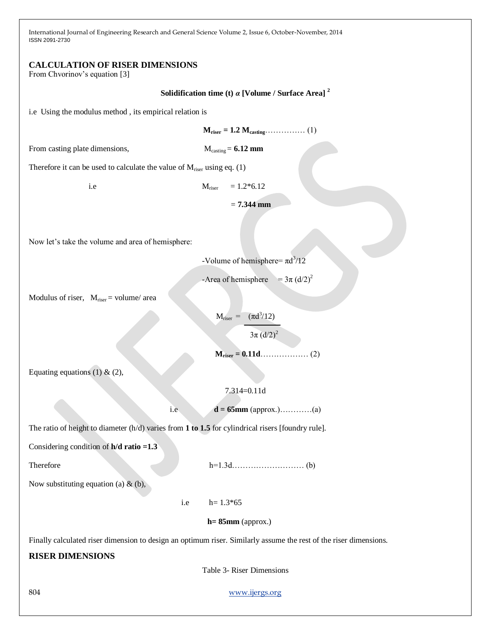## **CALCULATION OF RISER DIMENSIONS**

From Chvorinov's equation [3]

**Solidification time (t)** *α* **[Volume / Surface Area] <sup>2</sup>**

i.e Using the modulus method , its empirical relation is

 $M_{\text{riser}} = 1.2 M_{\text{casting}} \dots (1)$ 

From casting plate dimensions, M<sub>casting</sub> = **6.12 mm** 

Therefore it can be used to calculate the value of  $M_{\text{riser}}$  using eq. (1)

i.e  $M_{\text{riser}} = 1.2*6.12$ 

= **7.344 mm**

Now let's take the volume and area of hemisphere:

-Volume of hemisphere=  $\pi d^3/12$ 

-Area of hemisphere =  $3\pi$  (d/2)<sup>2</sup>

Modulus of riser,  $M_{\text{riser}} = \text{volume}/\text{area}$ 

 $M_{\text{riser}} = (\pi d^3/12)$ 

 $3\pi$  (d/2)<sup>2</sup>

 **Mriser = 0.11d**……………… (2)

Equating equations (1) & (2),

7.314=0.11d

i.e **d** = **65mm** (approx.)………….(a)

The ratio of height to diameter (h/d) varies from **1 to 1.5** for cylindrical risers [foundry rule].

Considering condition of **h/d ratio =1.3**

Therefore h=1.3d……………………… (b)

Now substituting equation (a)  $\&$  (b),

i.e  $h= 1.3*65$ 

 **h= 85mm** (approx.)

Finally calculated riser dimension to design an optimum riser. Similarly assume the rest of the riser dimensions.

## **RISER DIMENSIONS**

Table 3- Riser Dimensions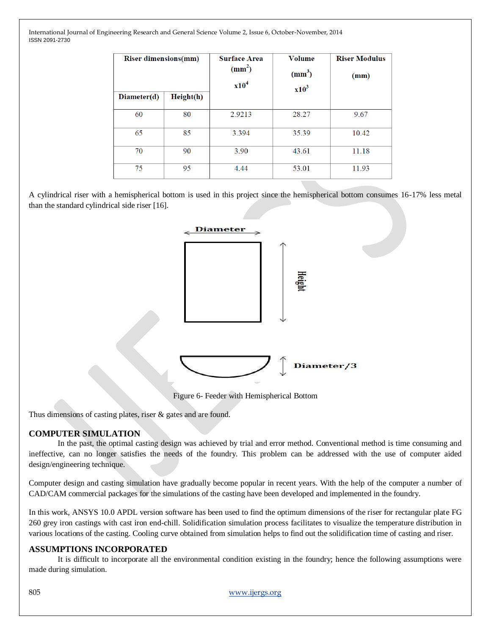| <b>Riser dimensions(mm)</b> |           | <b>Surface Area</b><br>$\text{(mm}^2)$<br>x10 <sup>4</sup> | <b>Volume</b><br>(mm <sup>3</sup> )<br>$x10^3$ | <b>Riser Modulus</b><br>(mm) |
|-----------------------------|-----------|------------------------------------------------------------|------------------------------------------------|------------------------------|
| Diameter(d)                 | Height(h) |                                                            |                                                |                              |
| 60                          | 80        | 2.9213                                                     | 28.27                                          | 9.67                         |
| 65                          | 85        | 3.394                                                      | 35.39                                          | 10.42                        |
| 70                          | 90        | 3.90                                                       | 43.61                                          | 11.18                        |
| 75                          | 95        | 4.44                                                       | 53.01                                          | 11.93                        |

A cylindrical riser with a hemispherical bottom is used in this project since the hemispherical bottom consumes 16-17% less metal than the standard cylindrical side riser [16].



Figure 6- Feeder with Hemispherical Bottom

Thus dimensions of casting plates, riser & gates and are found.

## **COMPUTER SIMULATION**

In the past, the optimal casting design was achieved by trial and error method. Conventional method is time consuming and ineffective, can no longer satisfies the needs of the foundry. This problem can be addressed with the use of computer aided design/engineering technique.

Computer design and casting simulation have gradually become popular in recent years. With the help of the computer a number of CAD/CAM commercial packages for the simulations of the casting have been developed and implemented in the foundry.

In this work, ANSYS 10.0 APDL version software has been used to find the optimum dimensions of the riser for rectangular plate FG 260 grey iron castings with cast iron end-chill. Solidification simulation process facilitates to visualize the temperature distribution in various locations of the casting. Cooling curve obtained from simulation helps to find out the solidification time of casting and riser.

## **ASSUMPTIONS INCORPORATED**

It is difficult to incorporate all the environmental condition existing in the foundry; hence the following assumptions were made during simulation.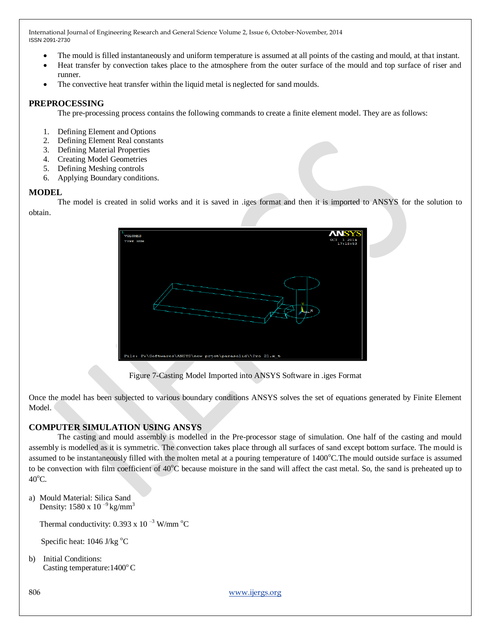- The mould is filled instantaneously and uniform temperature is assumed at all points of the casting and mould, at that instant.
- Heat transfer by convection takes place to the atmosphere from the outer surface of the mould and top surface of riser and runner.
- The convective heat transfer within the liquid metal is neglected for sand moulds.

## **PREPROCESSING**

The pre-processing process contains the following commands to create a finite element model. They are as follows:

- 1. Defining Element and Options
- 2. Defining Element Real constants
- 3. Defining Material Properties
- 4. Creating Model Geometries
- 5. Defining Meshing controls
- 6. Applying Boundary conditions.

## **MODEL**

The model is created in solid works and it is saved in .iges format and then it is imported to ANSYS for the solution to obtain.



Figure 7-Casting Model Imported into ANSYS Software in .iges Format

Once the model has been subjected to various boundary conditions ANSYS solves the set of equations generated by Finite Element Model.

## **COMPUTER SIMULATION USING ANSYS**

The casting and mould assembly is modelled in the Pre-processor stage of simulation. One half of the casting and mould assembly is modelled as it is symmetric. The convection takes place through all surfaces of sand except bottom surface. The mould is assumed to be instantaneously filled with the molten metal at a pouring temperature of  $1400^{\circ}$ C. The mould outside surface is assumed to be convection with film coefficient of 40<sup>o</sup>C because moisture in the sand will affect the cast metal. So, the sand is preheated up to  $40^{\circ}$ C.

a) Mould Material: Silica Sand Density:  $1580 \times 10^{-9}$  kg/mm<sup>3</sup>

Thermal conductivity: 0.393 x 10<sup> $-3$ </sup> W/mm<sup>o</sup>C

Specific heat: 1046 J/kg °C

b) Initial Conditions: Casting temperature:  $1400^{\circ}$ C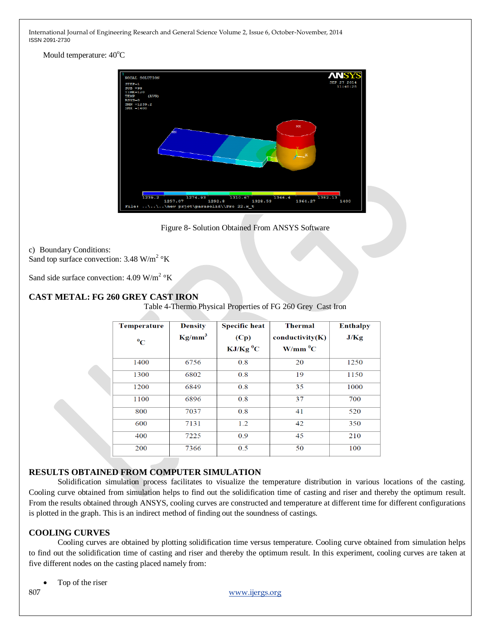Mould temperature:  $40^{\circ}$ C



Figure 8- Solution Obtained From ANSYS Software

#### c) Boundary Conditions:

Sand top surface convection: 3.48 W/m<sup>2</sup>  $\rm{^{\circ}K}$ 

Sand side surface convection:  $4.09 \text{ W/m}^2$  °K

## **CAST METAL: FG 260 GREY CAST IRON**

Table 4-Thermo Physical Properties of FG 260 Grey Cast Iron

| <b>Temperature</b> | <b>Density</b> | <b>Specific heat</b>   | <b>Thermal</b>        | <b>Enthalpy</b> |
|--------------------|----------------|------------------------|-----------------------|-----------------|
| $\rm ^{0}C$        | $Kg/mm^3$      | (Cp)                   | conductivity(K)       | J/Kg            |
|                    |                | $KJ/Kg$ <sup>0</sup> C | $W/mm$ <sup>0</sup> C |                 |
| 1400               | 6756           | 0.8                    | 20                    | 1250            |
| 1300               | 6802           | 0.8                    | 19                    | 1150            |
| 1200               | 6849           | 0.8                    | 35                    | 1000            |
| 1100               | 6896           | 0.8                    | 37                    | 700             |
| 800                | 7037           | 0.8                    | 41                    | 520             |
| 600                | 7131           | 1.2                    | 42                    | 350             |
| 400                | 7225           | 0.9                    | 45                    | 210             |
| 200                | 7366           | 0.5                    | 50                    | 100             |

## **RESULTS OBTAINED FROM COMPUTER SIMULATION**

Solidification simulation process facilitates to visualize the temperature distribution in various locations of the casting. Cooling curve obtained from simulation helps to find out the solidification time of casting and riser and thereby the optimum result. From the results obtained through ANSYS, cooling curves are constructed and temperature at different time for different configurations is plotted in the graph. This is an indirect method of finding out the soundness of castings.

## **COOLING CURVES**

Cooling curves are obtained by plotting solidification time versus temperature. Cooling curve obtained from simulation helps to find out the solidification time of casting and riser and thereby the optimum result. In this experiment, cooling curves are taken at five different nodes on the casting placed namely from:

Top of the riser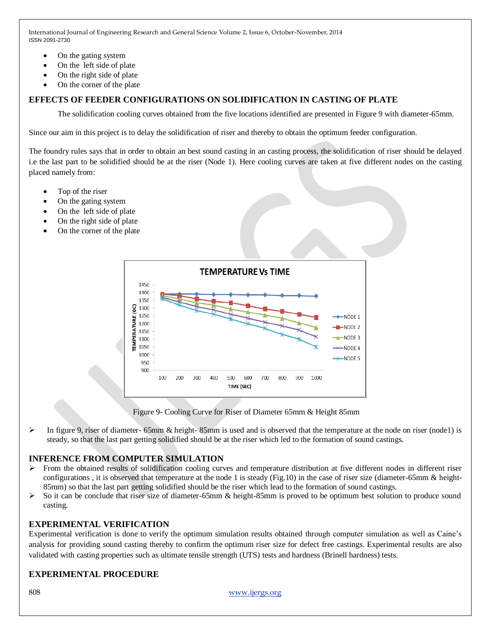- On the gating system
- On the left side of plate
- On the right side of plate
- On the corner of the plate

## **EFFECTS OF FEEDER CONFIGURATIONS ON SOLIDIFICATION IN CASTING OF PLATE**

The solidification cooling curves obtained from the five locations identified are presented in Figure 9 with diameter-65mm.

Since our aim in this project is to delay the solidification of riser and thereby to obtain the optimum feeder configuration.

The foundry rules says that in order to obtain an best sound casting in an casting process, the solidification of riser should be delayed i.e the last part to be solidified should be at the riser (Node 1). Here cooling curves are taken at five different nodes on the casting placed namely from:

- Top of the riser
- On the gating system
- On the left side of plate
- On the right side of plate
- On the corner of the plate



Figure 9- Cooling Curve for Riser of Diameter 65mm & Height 85mm

In figure 9, riser of diameter- 65mm & height-85mm is used and is observed that the temperature at the node on riser (node1) is steady, so that the last part getting solidified should be at the riser which led to the formation of sound castings.

## **INFERENCE FROM COMPUTER SIMULATION**

- From the obtained results of solidification cooling curves and temperature distribution at five different nodes in different riser configurations , it is observed that temperature at the node 1 is steady (Fig.10) in the case of riser size (diameter-65mm & height-85mm) so that the last part getting solidified should be the riser which lead to the formation of sound castings.
- $\triangleright$  So it can be conclude that riser size of diameter-65mm & height-85mm is proved to be optimum best solution to produce sound casting.

## **EXPERIMENTAL VERIFICATION**

Experimental verification is done to verify the optimum simulation results obtained through computer simulation as well as Caine's analysis for providing sound casting thereby to confirm the optimum riser size for defect free castings. Experimental results are also validated with casting properties such as ultimate tensile strength (UTS) tests and hardness (Brinell hardness) tests.

## **EXPERIMENTAL PROCEDURE**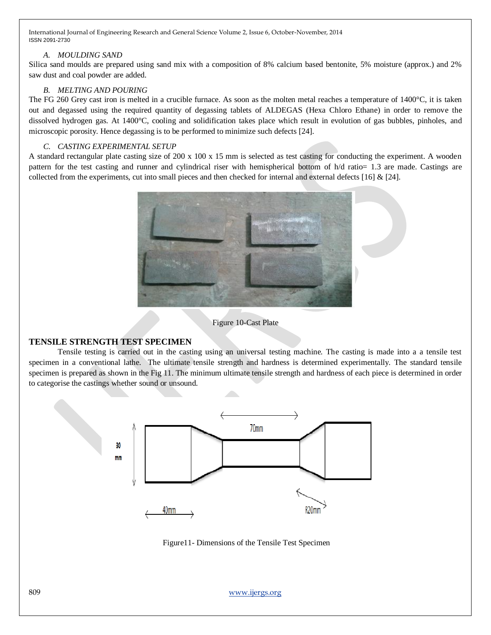## *A. MOULDING SAND*

Silica sand moulds are prepared using sand mix with a composition of 8% calcium based bentonite, 5% moisture (approx.) and 2% saw dust and coal powder are added.

## *B. MELTING AND POURING*

The FG 260 Grey cast iron is melted in a crucible furnace. As soon as the molten metal reaches a temperature of 1400 °C, it is taken out and degassed using the required quantity of degassing tablets of ALDEGAS (Hexa Chloro Ethane) in order to remove the dissolved hydrogen gas. At 1400°C, cooling and solidification takes place which result in evolution of gas bubbles, pinholes, and microscopic porosity. Hence degassing is to be performed to minimize such defects [24].

## *C. CASTING EXPERIMENTAL SETUP*

A standard rectangular plate casting size of  $200 \times 100 \times 15$  mm is selected as test casting for conducting the experiment. A wooden pattern for the test casting and runner and cylindrical riser with hemispherical bottom of h/d ratio= 1.3 are made. Castings are collected from the experiments, cut into small pieces and then checked for internal and external defects [16]  $& [24]$ .



## Figure 10-Cast Plate

## **TENSILE STRENGTH TEST SPECIMEN**

Tensile testing is carried out in the casting using an universal testing machine. The casting is made into a a tensile test specimen in a conventional lathe. The ultimate tensile strength and hardness is determined experimentally. The standard tensile specimen is prepared as shown in the Fig 11. The minimum ultimate tensile strength and hardness of each piece is determined in order to categorise the castings whether sound or unsound.



Figure11- Dimensions of the Tensile Test Specimen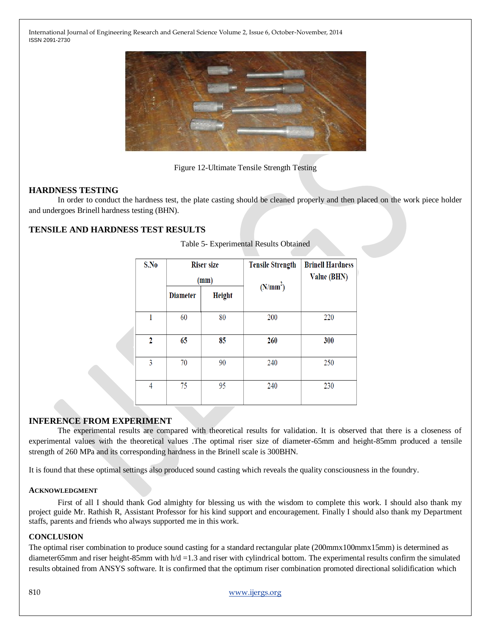

Figure 12-Ultimate Tensile Strength Testing

## **HARDNESS TESTING**

In order to conduct the hardness test, the plate casting should be cleaned properly and then placed on the work piece holder and undergoes Brinell hardness testing (BHN).

## **TENSILE AND HARDNESS TEST RESULTS**

| S.No         |                 | <b>Riser size</b><br>(mm) | <b>Tensile Strength</b> | <b>Brinell Hardness</b><br><b>Value (BHN)</b> |  |
|--------------|-----------------|---------------------------|-------------------------|-----------------------------------------------|--|
|              | <b>Diameter</b> | <b>Height</b>             | (N/mm <sup>2</sup> )    |                                               |  |
| 1            | 60              | 80                        | 200                     | 220                                           |  |
| $\mathbf{2}$ | 65              | 85                        | 260                     | 300                                           |  |
| 3            | 70              | 90                        | 240                     | 250                                           |  |
| 4            | 75              | 95                        | 240                     | 230                                           |  |

Table 5- Experimental Results Obtained

## **INFERENCE FROM EXPERIMENT**

The experimental results are compared with theoretical results for validation. It is observed that there is a closeness of experimental values with the theoretical values .The optimal riser size of diameter-65mm and height-85mm produced a tensile strength of 260 MPa and its corresponding hardness in the Brinell scale is 300BHN.

It is found that these optimal settings also produced sound casting which reveals the quality consciousness in the foundry.

#### **ACKNOWLEDGMENT**

First of all I should thank God almighty for blessing us with the wisdom to complete this work. I should also thank my project guide Mr. Rathish R, Assistant Professor for his kind support and encouragement. Finally I should also thank my Department staffs, parents and friends who always supported me in this work.

#### **CONCLUSION**

The optimal riser combination to produce sound casting for a standard rectangular plate (200mmx100mmx15mm) is determined as diameter65mm and riser height-85mm with h/d =1.3 and riser with cylindrical bottom. The experimental results confirm the simulated results obtained from ANSYS software. It is confirmed that the optimum riser combination promoted directional solidification which